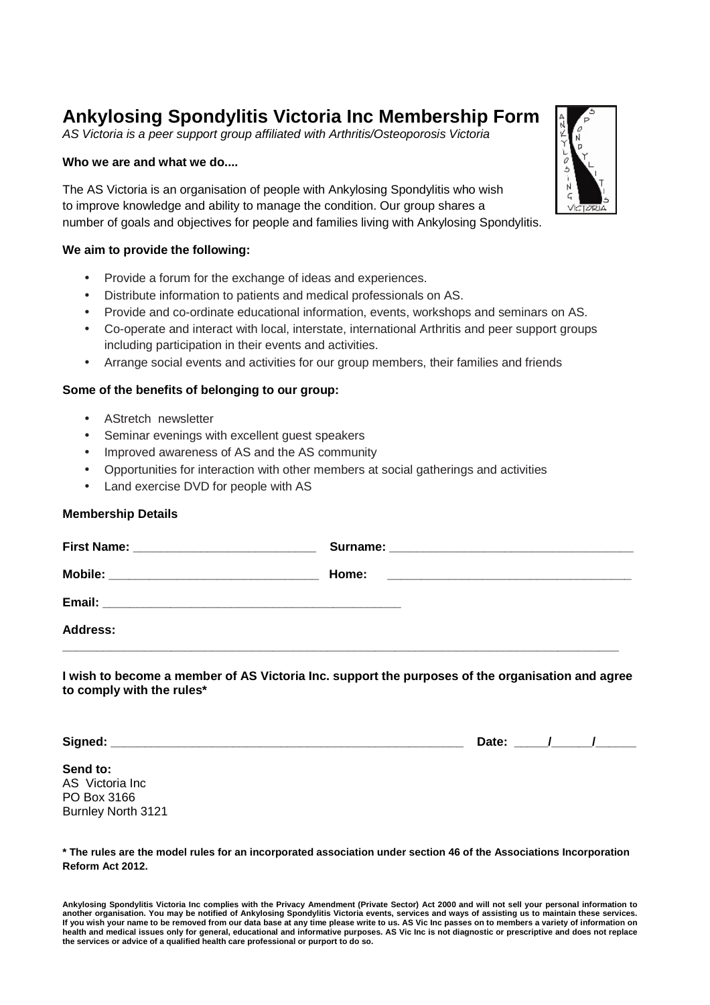# **Ankylosing Spondylitis Victoria Inc Membership Form**

AS Victoria is a peer support group affiliated with Arthritis/Osteoporosis Victoria

#### **Who we are and what we do....**

The AS Victoria is an organisation of people with Ankylosing Spondylitis who wish to improve knowledge and ability to manage the condition. Our group shares a number of goals and objectives for people and families living with Ankylosing Spondylitis.

### **We aim to provide the following:**

- Provide a forum for the exchange of ideas and experiences.
- Distribute information to patients and medical professionals on AS.
- Provide and co-ordinate educational information, events, workshops and seminars on AS.
- Co-operate and interact with local, interstate, international Arthritis and peer support groups including participation in their events and activities.
- Arrange social events and activities for our group members, their families and friends

### **Some of the benefits of belonging to our group:**

- AStretch newsletter
- Seminar evenings with excellent guest speakers
- Improved awareness of AS and the AS community
- Opportunities for interaction with other members at social gatherings and activities
- Land exercise DVD for people with AS

#### **Membership Details**

| <b>Address:</b> |  |
|-----------------|--|
|                 |  |

**I wish to become a member of AS Victoria Inc. support the purposes of the organisation and agree to comply with the rules\*** 

**Signed: \_\_\_\_\_\_\_\_\_\_\_\_\_\_\_\_\_\_\_\_\_\_\_\_\_\_\_\_\_\_\_\_\_\_\_\_\_\_\_\_\_\_\_\_\_\_\_\_\_\_\_\_ Date: \_\_\_\_\_/\_\_\_\_\_\_/\_\_\_\_\_\_** 

## **Send to:**

AS Victoria Inc PO Box 3166 Burnley North 3121

**\* The rules are the model rules for an incorporated association under section 46 of the Associations Incorporation Reform Act 2012.** 



**Ankylosing Spondylitis Victoria Inc complies with the Privacy Amendment (Private Sector) Act 2000 and will not sell your personal information to another organisation. You may be notified of Ankylosing Spondylitis Victoria events, services and ways of assisting us to maintain these services. If you wish your name to be removed from our data base at any time please write to us. AS Vic Inc passes on to members a variety of information on health and medical issues only for general, educational and informative purposes. AS Vic Inc is not diagnostic or prescriptive and does not replace the services or advice of a qualified health care professional or purport to do so.**